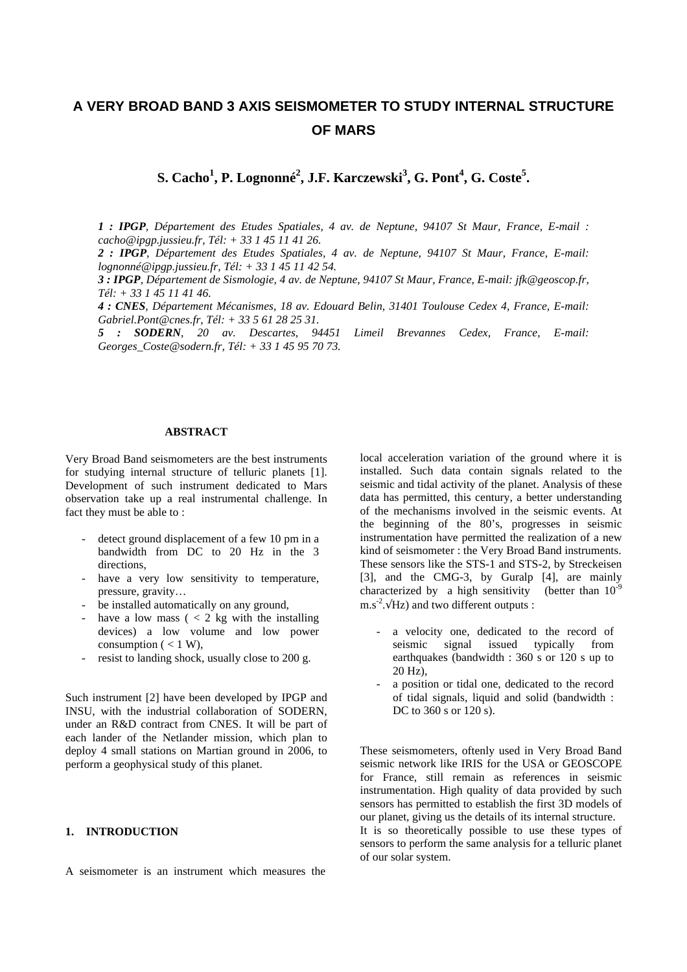# **A VERY BROAD BAND 3 AXIS SEISMOMETER TO STUDY INTERNAL STRUCTURE OF MARS**

**S. Cacho<sup>1</sup> , P. Lognonné<sup>2</sup> , J.F. Karczewski<sup>3</sup> , G. Pont<sup>4</sup> , G. Coste<sup>5</sup> .**

*1 : IPGP, Département des Etudes Spatiales, 4 av. de Neptune, 94107 St Maur, France, E-mail : cacho@ipgp.jussieu.fr, Tél: + 33 1 45 11 41 26.*

*2 : IPGP, Département des Etudes Spatiales, 4 av. de Neptune, 94107 St Maur, France, E-mail: lognonné@ipgp.jussieu.fr, Tél: + 33 1 45 11 42 54.*

*3 : IPGP, Département de Sismologie, 4 av. de Neptune, 94107 St Maur, France, E-mail: jfk@geoscop.fr, Tél: + 33 1 45 11 41 46.*

*4 : CNES, Département Mécanismes, 18 av. Edouard Belin, 31401 Toulouse Cedex 4, France, E-mail: Gabriel.Pont@cnes.fr, Tél: + 33 5 61 28 25 31.*

*5 : SODERN, 20 av. Descartes, 94451 Limeil Brevannes Cedex, France, E-mail: Georges\_Coste@sodern.fr, Tél: + 33 1 45 95 70 73.*

## **ABSTRACT**

Very Broad Band seismometers are the best instruments for studying internal structure of telluric planets [1]. Development of such instrument dedicated to Mars observation take up a real instrumental challenge. In fact they must be able to :

- detect ground displacement of a few 10 pm in a bandwidth from DC to 20 Hz in the 3 directions,
- have a very low sensitivity to temperature, pressure, gravity…
- be installed automatically on any ground,
- have a low mass  $(< 2 \text{ kg with the installing})$ devices) a low volume and low power consumption  $(< 1 W)$ .
- resist to landing shock, usually close to 200 g.

Such instrument [2] have been developed by IPGP and INSU, with the industrial collaboration of SODERN, under an R&D contract from CNES. It will be part of each lander of the Netlander mission, which plan to deploy 4 small stations on Martian ground in 2006, to perform a geophysical study of this planet.

## **1. INTRODUCTION**

A seismometer is an instrument which measures the

local acceleration variation of the ground where it is installed. Such data contain signals related to the seismic and tidal activity of the planet. Analysis of these data has permitted, this century, a better understanding of the mechanisms involved in the seismic events. At the beginning of the 80's, progresses in seismic instrumentation have permitted the realization of a new kind of seismometer : the Very Broad Band instruments. These sensors like the STS-1 and STS-2, by Streckeisen [3], and the CMG-3, by Guralp [4], are mainly characterized by a high sensitivity (better than  $10^{-9}$  $\text{m.s}^{-2}.\sqrt{\text{Hz}}$  and two different outputs :

- a velocity one, dedicated to the record of seismic signal issued typically from earthquakes (bandwidth : 360 s or 120 s up to 20 Hz),
- a position or tidal one, dedicated to the record of tidal signals, liquid and solid (bandwidth : DC to 360 s or 120 s).

These seismometers, oftenly used in Very Broad Band seismic network like IRIS for the USA or GEOSCOPE for France, still remain as references in seismic instrumentation. High quality of data provided by such sensors has permitted to establish the first 3D models of our planet, giving us the details of its internal structure. It is so theoretically possible to use these types of sensors to perform the same analysis for a telluric planet of our solar system.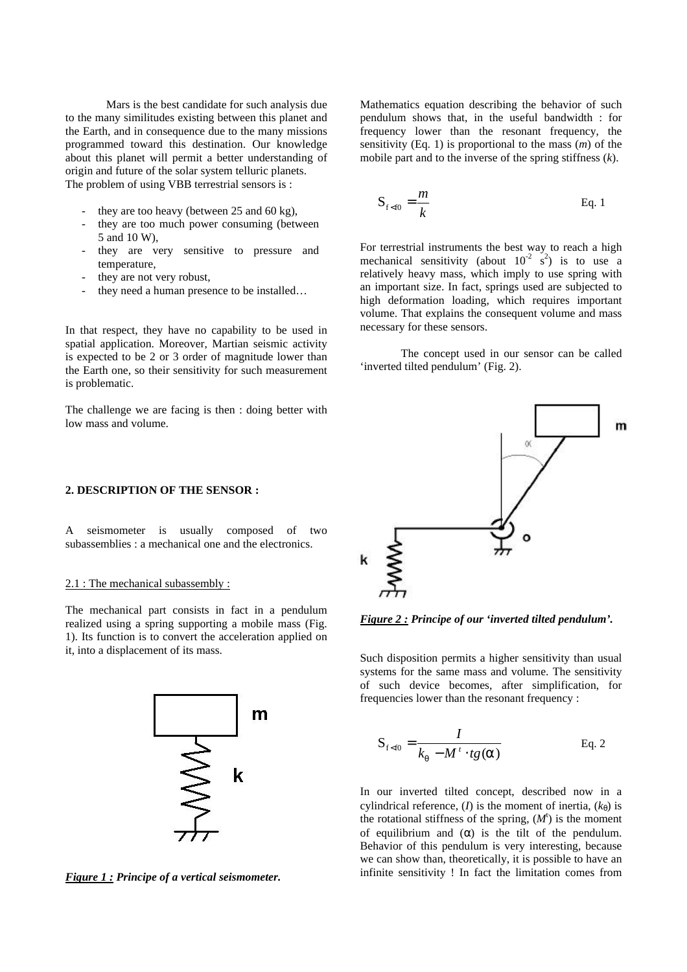Mars is the best candidate for such analysis due to the many similitudes existing between this planet and the Earth, and in consequence due to the many missions programmed toward this destination. Our knowledge about this planet will permit a better understanding of origin and future of the solar system telluric planets. The problem of using VBB terrestrial sensors is :

- they are too heavy (between  $25$  and  $60$  kg).
- they are too much power consuming (between 5 and 10 W),
- they are very sensitive to pressure and temperature,
- they are not very robust,
- they need a human presence to be installed...

In that respect, they have no capability to be used in spatial application. Moreover, Martian seismic activity is expected to be 2 or 3 order of magnitude lower than the Earth one, so their sensitivity for such measurement is problematic.

The challenge we are facing is then : doing better with low mass and volume.

## **2. DESCRIPTION OF THE SENSOR :**

A seismometer is usually composed of two subassemblies : a mechanical one and the electronics.

#### 2.1 : The mechanical subassembly :

The mechanical part consists in fact in a pendulum realized using a spring supporting a mobile mass (Fig. 1). Its function is to convert the acceleration applied on it, into a displacement of its mass.



*Figure 1 : Principe of a vertical seismometer.*

Mathematics equation describing the behavior of such pendulum shows that, in the useful bandwidth : for frequency lower than the resonant frequency, the sensitivity (Eq. 1) is proportional to the mass (*m*) of the mobile part and to the inverse of the spring stiffness (*k*).

$$
S_{f Eq. 1
$$

For terrestrial instruments the best way to reach a high mechanical sensitivity (about  $10^{-2}$  s<sup>2</sup>) is to use a relatively heavy mass, which imply to use spring with an important size. In fact, springs used are subjected to high deformation loading, which requires important volume. That explains the consequent volume and mass necessary for these sensors.

The concept used in our sensor can be called 'inverted tilted pendulum' (Fig. 2).



*Figure 2 : Principe of our 'inverted tilted pendulum'.*

Such disposition permits a higher sensitivity than usual systems for the same mass and volume. The sensitivity of such device becomes, after simplification, for frequencies lower than the resonant frequency :

$$
S_{f Eq. 2
$$

In our inverted tilted concept, described now in a cylindrical reference, (*I*) is the moment of inertia,  $(k_{\theta})$  is the rotational stiffness of the spring,  $(M<sup>t</sup>)$  is the moment of equilibrium and (*a* ) is the tilt of the pendulum. Behavior of this pendulum is very interesting, because we can show than, theoretically, it is possible to have an infinite sensitivity ! In fact the limitation comes from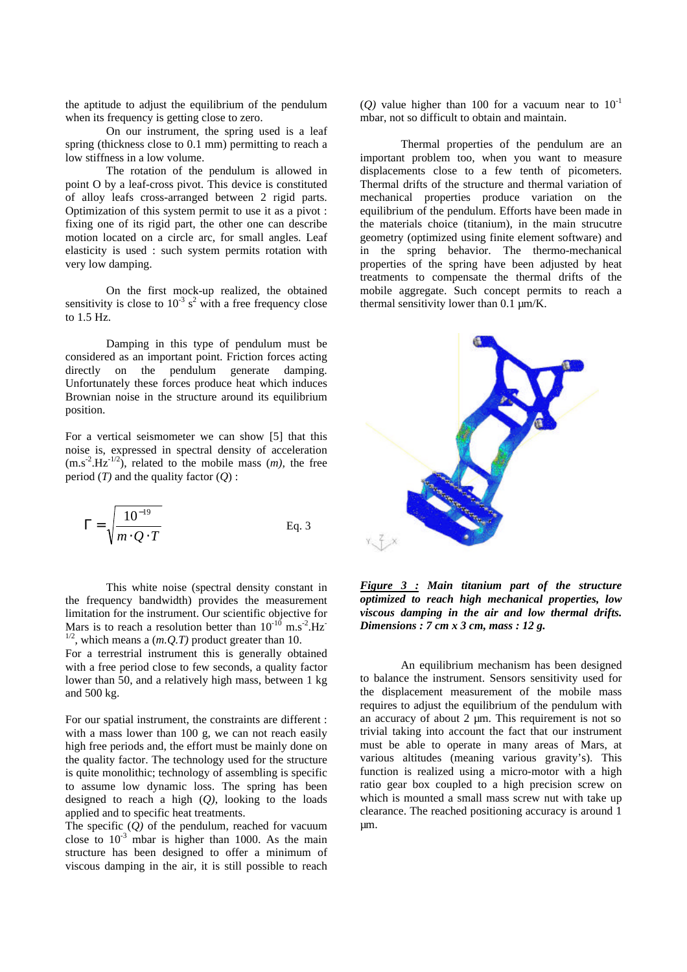the aptitude to adjust the equilibrium of the pendulum when its frequency is getting close to zero.

On our instrument, the spring used is a leaf spring (thickness close to 0.1 mm) permitting to reach a low stiffness in a low volume.

The rotation of the pendulum is allowed in point O by a leaf-cross pivot. This device is constituted of alloy leafs cross-arranged between 2 rigid parts. Optimization of this system permit to use it as a pivot : fixing one of its rigid part, the other one can describe motion located on a circle arc, for small angles. Leaf elasticity is used : such system permits rotation with very low damping.

On the first mock-up realized, the obtained sensitivity is close to  $10^{-3}$  s<sup>2</sup> with a free frequency close to 1.5 Hz.

Damping in this type of pendulum must be considered as an important point. Friction forces acting directly on the pendulum generate damping. Unfortunately these forces produce heat which induces Brownian noise in the structure around its equilibrium position.

For a vertical seismometer we can show [5] that this noise is, expressed in spectral density of acceleration  $(m.s<sup>2</sup>.Hz<sup>-1/2</sup>)$ , related to the mobile mass  $(m)$ , the free period  $(T)$  and the quality factor  $(0)$ :

$$
\Gamma = \sqrt{\frac{10^{-19}}{m \cdot Q \cdot T}}
$$
 Eq. 3

This white noise (spectral density constant in the frequency bandwidth) provides the measurement limitation for the instrument. Our scientific objective for Mars is to reach a resolution better than  $10^{-10}$  m.s<sup>-2</sup>.Hz<sup>-1</sup> <sup>1/2</sup>, which means a  $(m.Q.T)$  product greater than 10.

For a terrestrial instrument this is generally obtained with a free period close to few seconds, a quality factor lower than 50, and a relatively high mass, between 1 kg and 500 kg.

For our spatial instrument, the constraints are different : with a mass lower than 100 g, we can not reach easily high free periods and, the effort must be mainly done on the quality factor. The technology used for the structure is quite monolithic; technology of assembling is specific to assume low dynamic loss. The spring has been designed to reach a high (*Q)*, looking to the loads applied and to specific heat treatments.

The specific  $(0)$  of the pendulum, reached for vacuum close to  $10^{-3}$  mbar is higher than 1000. As the main structure has been designed to offer a minimum of viscous damping in the air, it is still possible to reach (*O*) value higher than 100 for a vacuum near to  $10^{-1}$ mbar, not so difficult to obtain and maintain.

Thermal properties of the pendulum are an important problem too, when you want to measure displacements close to a few tenth of picometers. Thermal drifts of the structure and thermal variation of mechanical properties produce variation on the equilibrium of the pendulum. Efforts have been made in the materials choice (titanium), in the main strucutre geometry (optimized using finite element software) and in the spring behavior. The thermo-mechanical properties of the spring have been adjusted by heat treatments to compensate the thermal drifts of the mobile aggregate. Such concept permits to reach a thermal sensitivity lower than  $0.1 \mu m/K$ .



*Figure 3 : Main titanium part of the structure optimized to reach high mechanical properties, low viscous damping in the air and low thermal drifts. Dimensions : 7 cm x 3 cm, mass : 12 g.*

An equilibrium mechanism has been designed to balance the instrument. Sensors sensitivity used for the displacement measurement of the mobile mass requires to adjust the equilibrium of the pendulum with an accuracy of about 2  $\mu$ m. This requirement is not so trivial taking into account the fact that our instrument must be able to operate in many areas of Mars, at various altitudes (meaning various gravity's). This function is realized using a micro-motor with a high ratio gear box coupled to a high precision screw on which is mounted a small mass screw nut with take up clearance. The reached positioning accuracy is around 1 µm.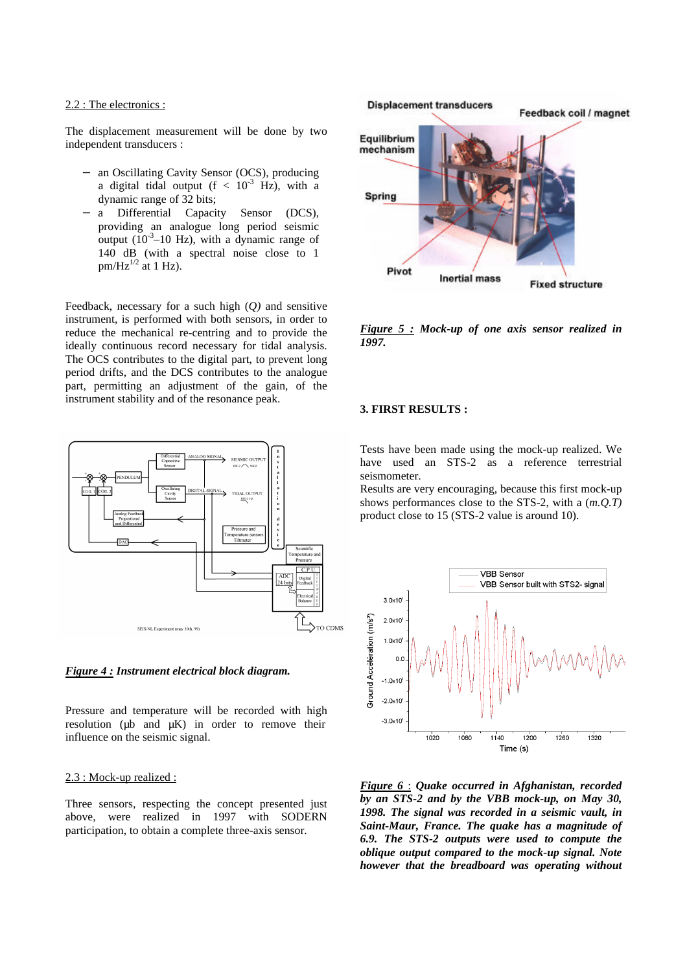#### 2.2 : The electronics :

The displacement measurement will be done by two independent transducers :

- − an Oscillating Cavity Sensor (OCS), producing a digital tidal output  $(f < 10^{-3}$  Hz), with a dynamic range of 32 bits;
- − a Differential Capacity Sensor (DCS), providing an analogue long period seismic output  $(10^{-3}$ –10 Hz), with a dynamic range of 140 dB (with a spectral noise close to 1  $pm/Hz^{1/2}$  at 1 Hz).

Feedback, necessary for a such high (*Q)* and sensitive instrument, is performed with both sensors, in order to reduce the mechanical re-centring and to provide the ideally continuous record necessary for tidal analysis. The OCS contributes to the digital part, to prevent long period drifts, and the DCS contributes to the analogue part, permitting an adjustment of the gain, of the instrument stability and of the resonance peak.





Pressure and temperature will be recorded with high resolution ( $\mu$ b and  $\mu$ K) in order to remove their influence on the seismic signal.

#### 2.3 : Mock-up realized :

Three sensors, respecting the concept presented just above, were realized in 1997 with SODERN participation, to obtain a complete three-axis sensor.



*Figure 5 : Mock-up of one axis sensor realized in 1997.*

## **3. FIRST RESULTS :**

Tests have been made using the mock-up realized. We have used an STS-2 as a reference terrestrial seismometer.

Results are very encouraging, because this first mock-up shows performances close to the STS-2, with a (*m.Q.T)* product close to 15 (STS-2 value is around 10).



*Figure 6* : *Quake occurred in Afghanistan, recorded by an STS-2 and by the VBB mock-up, on May 30, 1998. The signal was recorded in a seismic vault, in Saint-Maur, France. The quake has a magnitude of 6.9. The STS-2 outputs were used to compute the oblique output compared to the mock-up signal. Note however that the breadboard was operating without*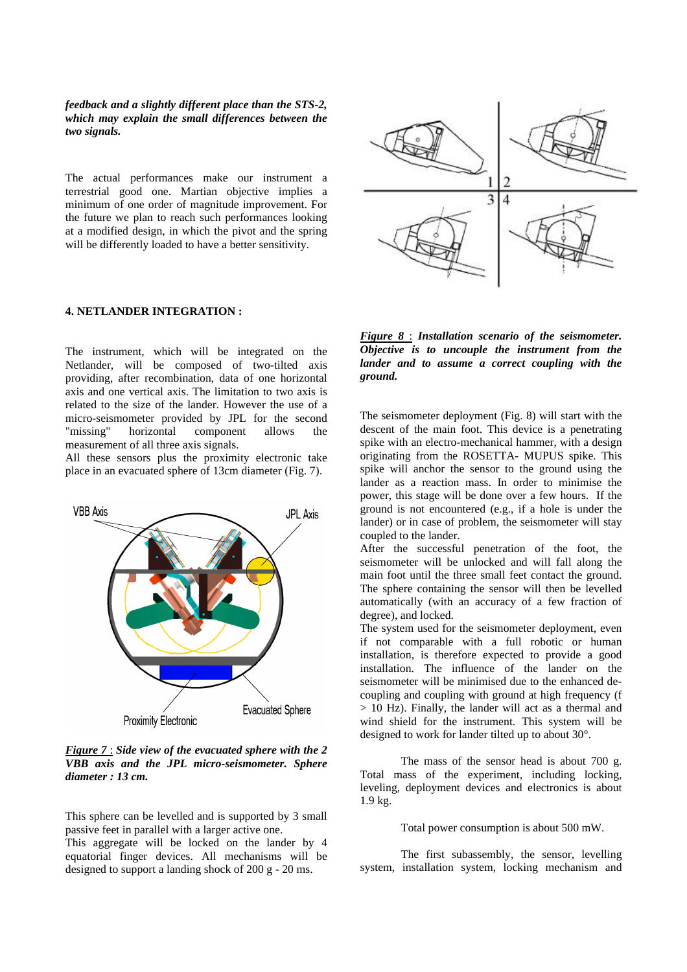*feedback and a slightly different place than the STS-2, which may explain the small differences between the two signals.*

The actual performances make our instrument a terrestrial good one. Martian objective implies a minimum of one order of magnitude improvement. For the future we plan to reach such performances looking at a modified design, in which the pivot and the spring will be differently loaded to have a better sensitivity.

## **4. NETLANDER INTEGRATION :**

The instrument, which will be integrated on the Netlander, will be composed of two-tilted axis providing, after recombination, data of one horizontal axis and one vertical axis. The limitation to two axis is related to the size of the lander. However the use of a micro-seismometer provided by JPL for the second "missing" horizontal component allows the measurement of all three axis signals.

All these sensors plus the proximity electronic take place in an evacuated sphere of 13cm diameter (Fig. 7).



*Figure 7* : *Side view of the evacuated sphere with the 2 VBB axis and the JPL micro-seismometer. Sphere diameter : 13 cm.*

This sphere can be levelled and is supported by 3 small passive feet in parallel with a larger active one.

This aggregate will be locked on the lander by 4 equatorial finger devices. All mechanisms will be designed to support a landing shock of 200 g - 20 ms.



*Figure 8* : *Installation scenario of the seismometer. Objective is to uncouple the instrument from the lander and to assume a correct coupling with the ground.*

The seismometer deployment (Fig. 8) will start with the descent of the main foot. This device is a penetrating spike with an electro-mechanical hammer, with a design originating from the ROSETTA- MUPUS spike. This spike will anchor the sensor to the ground using the lander as a reaction mass. In order to minimise the power, this stage will be done over a few hours. If the ground is not encountered (e.g., if a hole is under the lander) or in case of problem, the seismometer will stay coupled to the lander.

After the successful penetration of the foot, the seismometer will be unlocked and will fall along the main foot until the three small feet contact the ground. The sphere containing the sensor will then be levelled automatically (with an accuracy of a few fraction of degree), and locked.

The system used for the seismometer deployment, even if not comparable with a full robotic or human installation, is therefore expected to provide a good installation. The influence of the lander on the seismometer will be minimised due to the enhanced decoupling and coupling with ground at high frequency (f > 10 Hz). Finally, the lander will act as a thermal and wind shield for the instrument. This system will be designed to work for lander tilted up to about 30°.

The mass of the sensor head is about 700 g. Total mass of the experiment, including locking, leveling, deployment devices and electronics is about 1.9 kg.

Total power consumption is about 500 mW.

The first subassembly, the sensor, levelling system, installation system, locking mechanism and